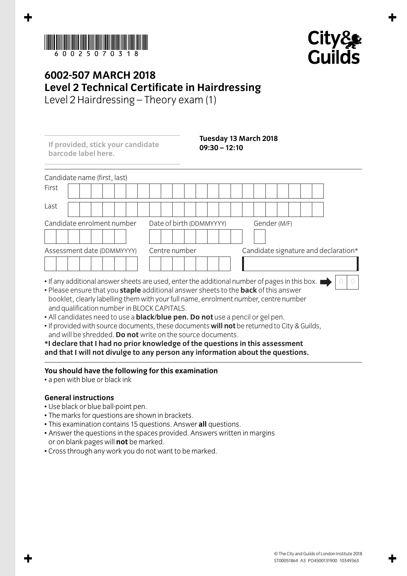



## **6002-507 MARCH 2018 Level 2 Technical Certificate in Hairdressing**

Level 2 Hairdressing – Theory exam (1)

| If provided, stick your candidate<br>barcode label here.                                        | $09:30 - 12:10$          | Tuesday 13 March 2018                |
|-------------------------------------------------------------------------------------------------|--------------------------|--------------------------------------|
| Candidate name (first, last)                                                                    |                          |                                      |
| First                                                                                           |                          |                                      |
| Last                                                                                            |                          |                                      |
| Candidate enrolment number                                                                      | Date of birth (DDMMYYYY) | Gender (M/F)                         |
| Assessment date (DDMMYYYY)                                                                      | Centre number            | Candidate signature and declaration* |
| . If any additional answer sheets are used, enter the additional number of pages in this box. I |                          |                                      |

- Please ensure that you **staple** additional answer sheets to the **back** of this answer booklet, clearly labelling them with your full name, enrolment number, centre number and qualification number in BLOCK CAPITALS.
- All candidates need to use a **black/blue pen. Do not** use a pencil or gel pen.
- If provided with source documents, these documents **will not** be returned to City & Guilds, and will be shredded. **Do not** write on the source documents.

**\*I declare that I had no prior knowledge of the questions in this assessment and that I will not divulge to any person any information about the questions.**

## **You should have the following for this examination**

• a pen with blue or black ink

## **General instructions**

- Use black or blue ball-point pen.
- The marks for questions are shown in brackets.
- This examination contains 15 questions. Answer **all** questions.
- Answer the questions in the spaces provided. Answers written in margins or on blank pages will **not** be marked.
- Cross through any work you do not want to be marked.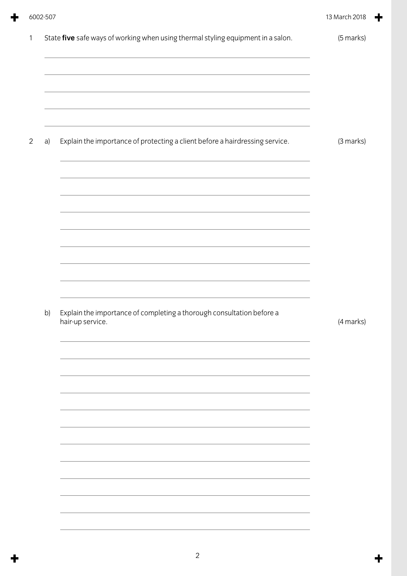|  | 6002-507 |
|--|----------|
|--|----------|

 $\ddot{\textbf{r}}$ 

|    | State five safe ways of working when using thermal styling equipment in a salon.          | (5 marks) |
|----|-------------------------------------------------------------------------------------------|-----------|
|    |                                                                                           |           |
|    |                                                                                           |           |
| a) | Explain the importance of protecting a client before a hairdressing service.              | (3 marks) |
|    |                                                                                           |           |
|    |                                                                                           |           |
|    |                                                                                           |           |
|    |                                                                                           |           |
| b) | Explain the importance of completing a thorough consultation before a<br>hair-up service. | (4 marks) |
|    |                                                                                           |           |
|    |                                                                                           |           |
|    |                                                                                           |           |
|    |                                                                                           |           |
|    |                                                                                           |           |
|    |                                                                                           |           |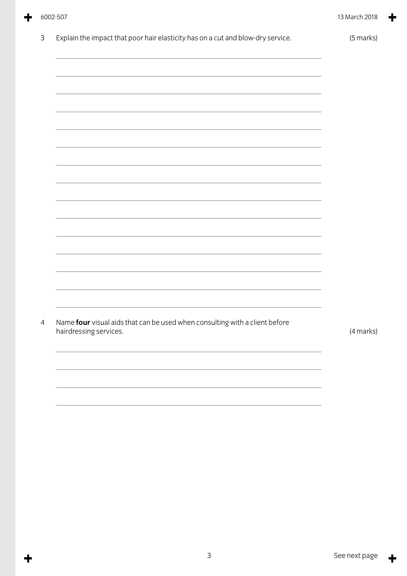$\ddot{\phantom{1}}$ 

╈

| Explain the impact that poor hair elasticity has on a cut and blow-dry service. | (5 marks) |
|---------------------------------------------------------------------------------|-----------|
|                                                                                 |           |
|                                                                                 |           |
|                                                                                 |           |
|                                                                                 |           |
|                                                                                 |           |
|                                                                                 |           |
|                                                                                 |           |
|                                                                                 |           |
|                                                                                 |           |
|                                                                                 |           |
|                                                                                 |           |
|                                                                                 |           |
|                                                                                 |           |
|                                                                                 |           |
|                                                                                 |           |
| Name four visual aids that can be used when consulting with a client before     |           |
| hairdressing services.                                                          | (4 marks) |
|                                                                                 |           |
|                                                                                 |           |
|                                                                                 |           |
|                                                                                 |           |
|                                                                                 |           |
|                                                                                 |           |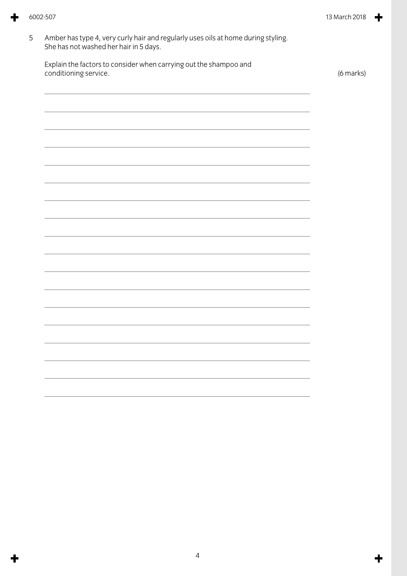5 Amber has type 4, very curly hair and regularly uses oils at home during styling. She has not washed her hair in 5 days.

Explain the factors to consider when carrying out the shampoo and conditioning service. (6 marks)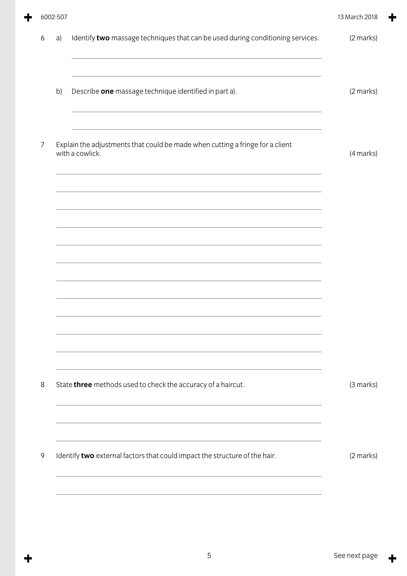|   | 6002-507 |                                                                                                                                                                           | 13 March 2018 |
|---|----------|---------------------------------------------------------------------------------------------------------------------------------------------------------------------------|---------------|
| 6 | a)       | Identify two massage techniques that can be used during conditioning services.                                                                                            | (2 marks)     |
|   | b)       | and the control of the control of the control of the control of the control of the control of the control of the<br>Describe one massage technique identified in part a). | (2 marks)     |
| 7 |          | <u> 1989 - Johann Stoff, amerikansk politiker (d. 1989)</u><br>Explain the adjustments that could be made when cutting a fringe for a client<br>with a cowlick.           | (4 marks)     |
|   |          |                                                                                                                                                                           |               |
|   |          |                                                                                                                                                                           |               |
|   |          | <u> 1989 - Johann Stein, marwolaethau a bhann an t-Amhainn an t-Amhainn an t-Amhainn an t-Amhainn an t-Amhainn an</u>                                                     |               |
|   |          |                                                                                                                                                                           |               |
|   |          |                                                                                                                                                                           |               |
| 8 |          | State three methods used to check the accuracy of a haircut.                                                                                                              | (3 marks)     |
| 9 |          | Identify two external factors that could impact the structure of the hair.                                                                                                | (2 marks)     |
|   |          |                                                                                                                                                                           |               |

 $\ddagger$ 

۰

 $\ddot{\phantom{1}}$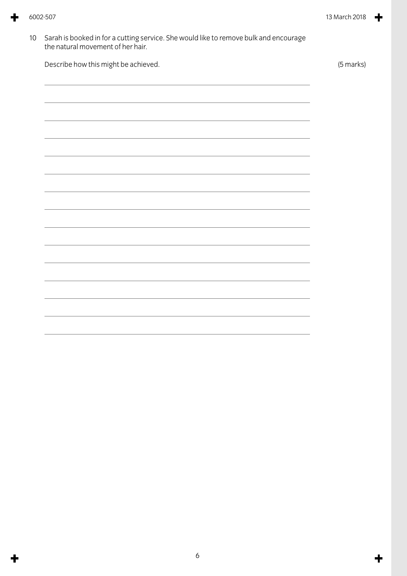| 10 Sarah is booked in for a cutting service. She would like to remove bulk and encourage |
|------------------------------------------------------------------------------------------|
| the natural movement of her hair.                                                        |

Describe how this might be achieved. The state of the state of the state of the state of the state of the state of the state of the state of the state of the state of the state of the state of the state of the state of the

 $\sim$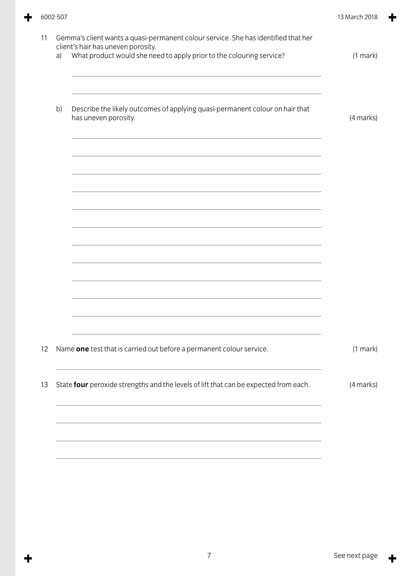╋

╋

| 11 |    | Gemma's client wants a quasi-permanent colour service. She has identified that her<br>client's hair has uneven porosity. |               |
|----|----|--------------------------------------------------------------------------------------------------------------------------|---------------|
|    | a) | What product would she need to apply prior to the colouring service?                                                     | $(1$ mark)    |
|    | b) | Describe the likely outcomes of applying quasi-permanent colour on hair that<br>has uneven porosity.                     | (4 marks)     |
|    |    |                                                                                                                          |               |
|    |    |                                                                                                                          |               |
|    |    |                                                                                                                          |               |
|    |    |                                                                                                                          |               |
| 12 |    | Name one test that is carried out before a permanent colour service.                                                     | $(1$ mark $)$ |
| 13 |    | State four peroxide strengths and the levels of lift that can be expected from each.                                     | (4 marks)     |
|    |    |                                                                                                                          |               |
|    |    |                                                                                                                          |               |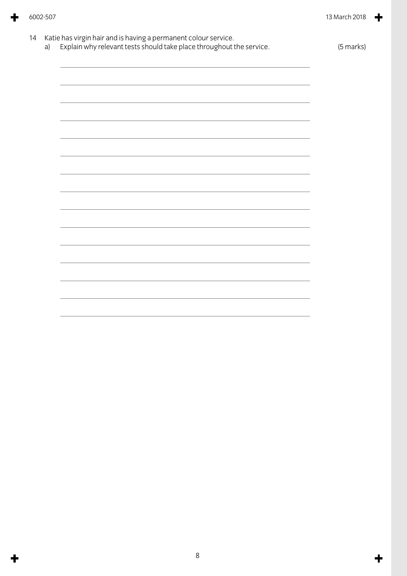14 Katie has virgin hair and is having a permanent colour service. a) Explain why relevant tests should take place throughout the service. (5 marks)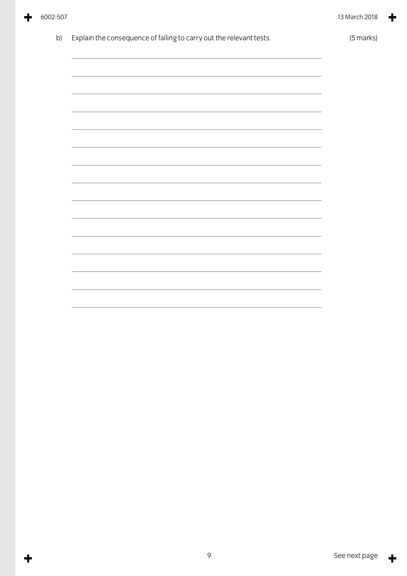╋

╈

| Explain the consequence of failing to carry out the relevant tests.                                                   | (5 marks) |
|-----------------------------------------------------------------------------------------------------------------------|-----------|
|                                                                                                                       |           |
|                                                                                                                       |           |
|                                                                                                                       |           |
|                                                                                                                       |           |
|                                                                                                                       |           |
|                                                                                                                       |           |
|                                                                                                                       |           |
|                                                                                                                       |           |
|                                                                                                                       |           |
|                                                                                                                       |           |
| <u> 1989 - Johann Stoff, deutscher Stoff, der Stoff, der Stoff, der Stoff, der Stoff, der Stoff, der Stoff, der S</u> |           |
|                                                                                                                       |           |
|                                                                                                                       |           |
|                                                                                                                       |           |
|                                                                                                                       |           |
|                                                                                                                       |           |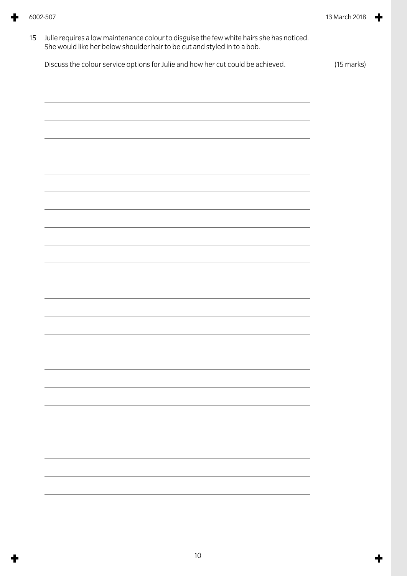| 15 | Julie requires a low maintenance colour to disguise the few white hairs she has noticed.<br>She would like her below shoulder hair to be cut and styled in to a bob. |            |  |
|----|----------------------------------------------------------------------------------------------------------------------------------------------------------------------|------------|--|
|    | Discuss the colour service options for Julie and how her cut could be achieved.                                                                                      | (15 marks) |  |
|    |                                                                                                                                                                      |            |  |
|    |                                                                                                                                                                      |            |  |
|    |                                                                                                                                                                      |            |  |
|    |                                                                                                                                                                      |            |  |
|    |                                                                                                                                                                      |            |  |
|    |                                                                                                                                                                      |            |  |
|    |                                                                                                                                                                      |            |  |
|    |                                                                                                                                                                      |            |  |
|    |                                                                                                                                                                      |            |  |
|    |                                                                                                                                                                      |            |  |
|    |                                                                                                                                                                      |            |  |
|    |                                                                                                                                                                      |            |  |
|    |                                                                                                                                                                      |            |  |
|    |                                                                                                                                                                      |            |  |
|    |                                                                                                                                                                      |            |  |
|    |                                                                                                                                                                      |            |  |
|    |                                                                                                                                                                      |            |  |
|    |                                                                                                                                                                      |            |  |
|    |                                                                                                                                                                      |            |  |
|    |                                                                                                                                                                      |            |  |
|    |                                                                                                                                                                      |            |  |
|    |                                                                                                                                                                      |            |  |
|    |                                                                                                                                                                      |            |  |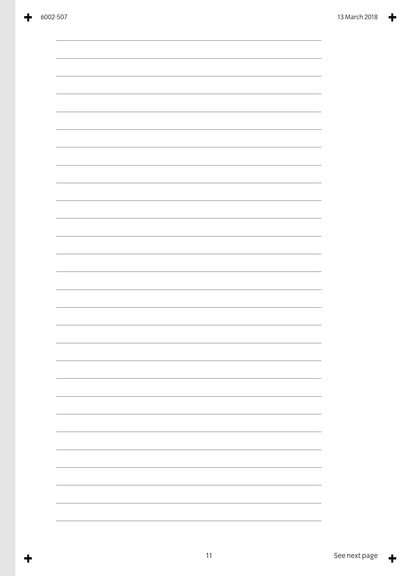╈

|  | 6002-507 |
|--|----------|
|--|----------|

 $\ddot{\phantom{1}}$ 

| the contract of the contract of |
|---------------------------------|
|                                 |
|                                 |
|                                 |
|                                 |
|                                 |
|                                 |
|                                 |
|                                 |
|                                 |
|                                 |
|                                 |
|                                 |
|                                 |
|                                 |
|                                 |
|                                 |
|                                 |
|                                 |
|                                 |
|                                 |
|                                 |
|                                 |
|                                 |
|                                 |
|                                 |
|                                 |
|                                 |
|                                 |
|                                 |
|                                 |
|                                 |
|                                 |
|                                 |
|                                 |
|                                 |
|                                 |
|                                 |
|                                 |
|                                 |
|                                 |
|                                 |
|                                 |
|                                 |
|                                 |
|                                 |
|                                 |
|                                 |
|                                 |
|                                 |
|                                 |
|                                 |
|                                 |
|                                 |
|                                 |
|                                 |
|                                 |
|                                 |
|                                 |
|                                 |
|                                 |
|                                 |
|                                 |
|                                 |
|                                 |
|                                 |
|                                 |
|                                 |
|                                 |
|                                 |
|                                 |
|                                 |
|                                 |
|                                 |
|                                 |
|                                 |
|                                 |
|                                 |
|                                 |
|                                 |
|                                 |
|                                 |
|                                 |
|                                 |
|                                 |
|                                 |
|                                 |
|                                 |
|                                 |
|                                 |
|                                 |
|                                 |
|                                 |
|                                 |
|                                 |
|                                 |
|                                 |
|                                 |
|                                 |
|                                 |
|                                 |
|                                 |
|                                 |
|                                 |
|                                 |
|                                 |
|                                 |
|                                 |
|                                 |
|                                 |
|                                 |
|                                 |
|                                 |